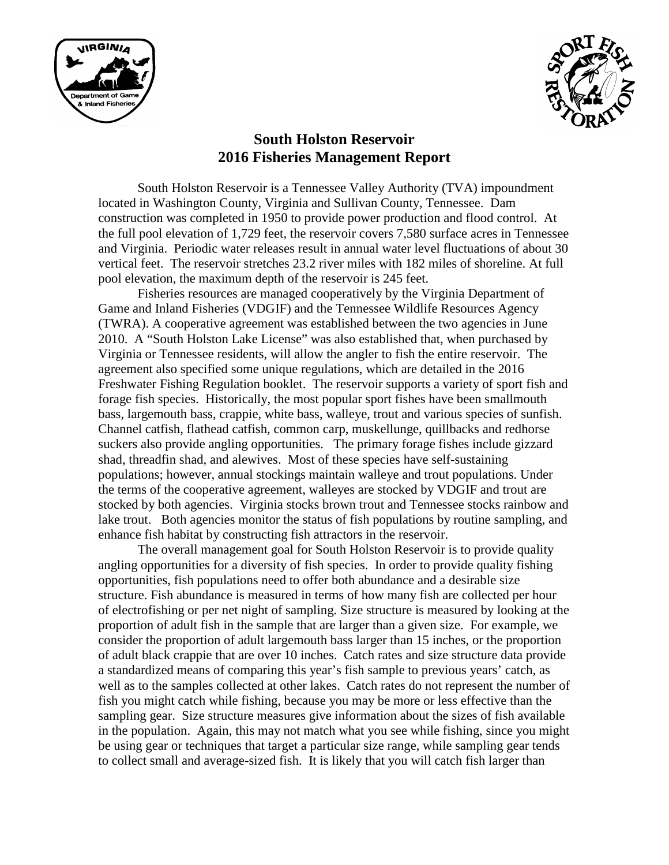



# **South Holston Reservoir 2016 Fisheries Management Report**

South Holston Reservoir is a Tennessee Valley Authority (TVA) impoundment located in Washington County, Virginia and Sullivan County, Tennessee. Dam construction was completed in 1950 to provide power production and flood control. At the full pool elevation of 1,729 feet, the reservoir covers 7,580 surface acres in Tennessee and Virginia. Periodic water releases result in annual water level fluctuations of about 30 vertical feet. The reservoir stretches 23.2 river miles with 182 miles of shoreline. At full pool elevation, the maximum depth of the reservoir is 245 feet.

Fisheries resources are managed cooperatively by the Virginia Department of Game and Inland Fisheries (VDGIF) and the Tennessee Wildlife Resources Agency (TWRA). A cooperative agreement was established between the two agencies in June 2010. A "South Holston Lake License" was also established that, when purchased by Virginia or Tennessee residents, will allow the angler to fish the entire reservoir. The agreement also specified some unique regulations, which are detailed in the 2016 Freshwater Fishing Regulation booklet. The reservoir supports a variety of sport fish and forage fish species. Historically, the most popular sport fishes have been smallmouth bass, largemouth bass, crappie, white bass, walleye, trout and various species of sunfish. Channel catfish, flathead catfish, common carp, muskellunge, quillbacks and redhorse suckers also provide angling opportunities. The primary forage fishes include gizzard shad, threadfin shad, and alewives. Most of these species have self-sustaining populations; however, annual stockings maintain walleye and trout populations. Under the terms of the cooperative agreement, walleyes are stocked by VDGIF and trout are stocked by both agencies. Virginia stocks brown trout and Tennessee stocks rainbow and lake trout. Both agencies monitor the status of fish populations by routine sampling, and enhance fish habitat by constructing fish attractors in the reservoir.

The overall management goal for South Holston Reservoir is to provide quality angling opportunities for a diversity of fish species. In order to provide quality fishing opportunities, fish populations need to offer both abundance and a desirable size structure. Fish abundance is measured in terms of how many fish are collected per hour of electrofishing or per net night of sampling. Size structure is measured by looking at the proportion of adult fish in the sample that are larger than a given size. For example, we consider the proportion of adult largemouth bass larger than 15 inches, or the proportion of adult black crappie that are over 10 inches. Catch rates and size structure data provide a standardized means of comparing this year's fish sample to previous years' catch, as well as to the samples collected at other lakes. Catch rates do not represent the number of fish you might catch while fishing, because you may be more or less effective than the sampling gear. Size structure measures give information about the sizes of fish available in the population. Again, this may not match what you see while fishing, since you might be using gear or techniques that target a particular size range, while sampling gear tends to collect small and average-sized fish. It is likely that you will catch fish larger than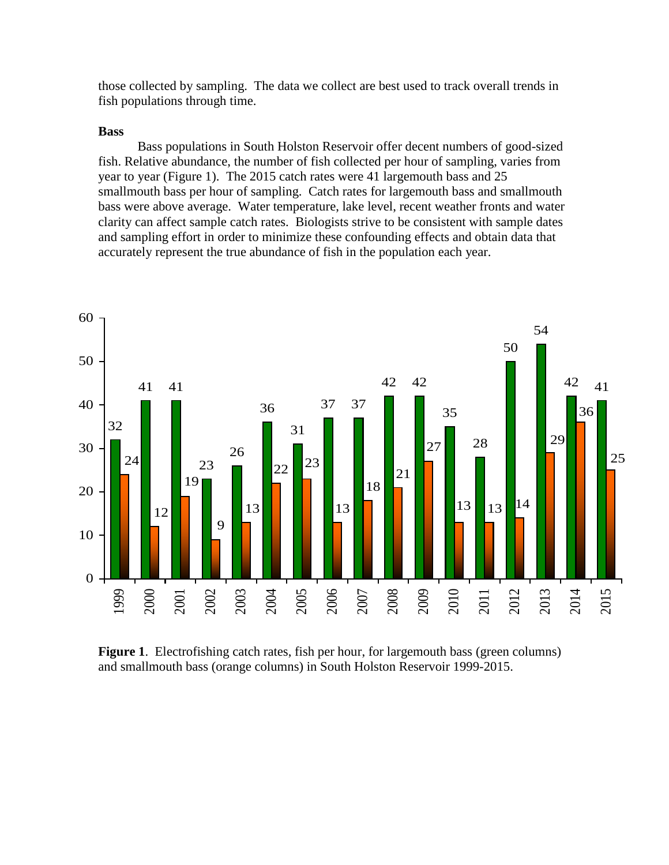those collected by sampling. The data we collect are best used to track overall trends in fish populations through time.

## **Bass**

Bass populations in South Holston Reservoir offer decent numbers of good-sized fish. Relative abundance, the number of fish collected per hour of sampling, varies from year to year (Figure 1). The 2015 catch rates were 41 largemouth bass and 25 smallmouth bass per hour of sampling. Catch rates for largemouth bass and smallmouth bass were above average. Water temperature, lake level, recent weather fronts and water clarity can affect sample catch rates. Biologists strive to be consistent with sample dates and sampling effort in order to minimize these confounding effects and obtain data that accurately represent the true abundance of fish in the population each year.



**Figure 1**. Electrofishing catch rates, fish per hour, for largemouth bass (green columns) and smallmouth bass (orange columns) in South Holston Reservoir 1999-2015.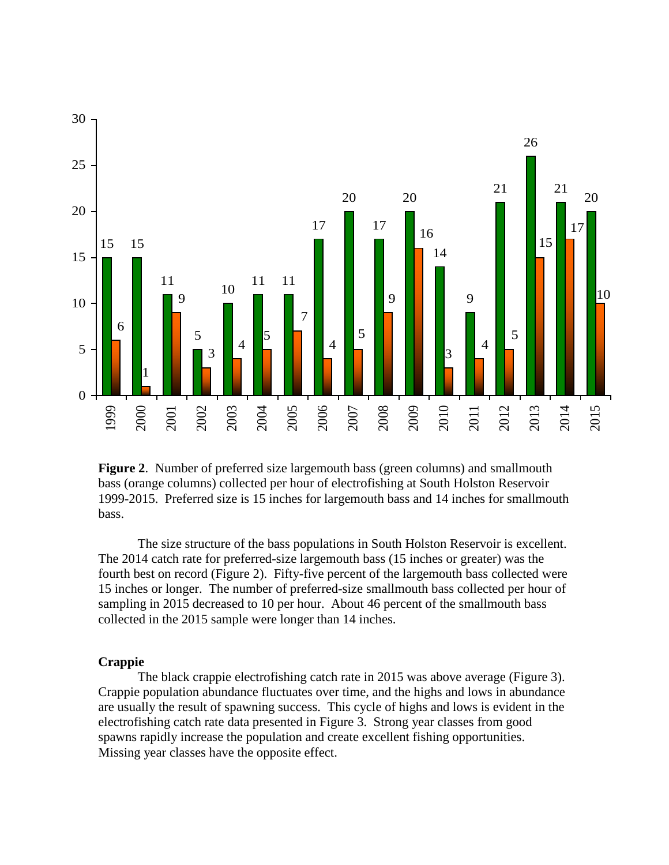

**Figure 2**. Number of preferred size largemouth bass (green columns) and smallmouth bass (orange columns) collected per hour of electrofishing at South Holston Reservoir 1999-2015. Preferred size is 15 inches for largemouth bass and 14 inches for smallmouth bass.

The size structure of the bass populations in South Holston Reservoir is excellent. The 2014 catch rate for preferred-size largemouth bass (15 inches or greater) was the fourth best on record (Figure 2). Fifty-five percent of the largemouth bass collected were 15 inches or longer. The number of preferred-size smallmouth bass collected per hour of sampling in 2015 decreased to 10 per hour. About 46 percent of the smallmouth bass collected in the 2015 sample were longer than 14 inches.

#### **Crappie**

The black crappie electrofishing catch rate in 2015 was above average (Figure 3). Crappie population abundance fluctuates over time, and the highs and lows in abundance are usually the result of spawning success. This cycle of highs and lows is evident in the electrofishing catch rate data presented in Figure 3. Strong year classes from good spawns rapidly increase the population and create excellent fishing opportunities. Missing year classes have the opposite effect.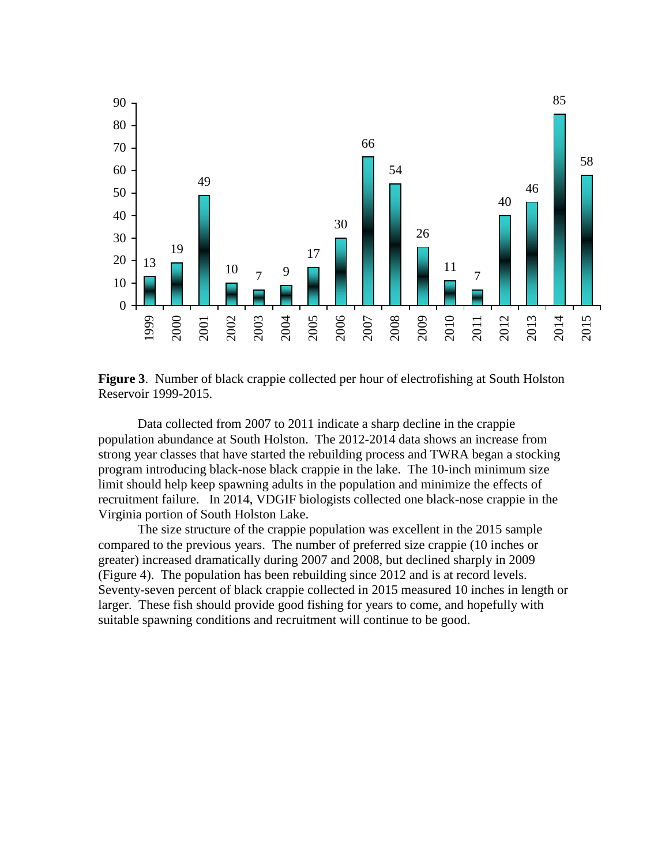

**Figure 3**. Number of black crappie collected per hour of electrofishing at South Holston Reservoir 1999-2015.

Data collected from 2007 to 2011 indicate a sharp decline in the crappie population abundance at South Holston. The 2012-2014 data shows an increase from strong year classes that have started the rebuilding process and TWRA began a stocking program introducing black-nose black crappie in the lake. The 10-inch minimum size limit should help keep spawning adults in the population and minimize the effects of recruitment failure. In 2014, VDGIF biologists collected one black-nose crappie in the Virginia portion of South Holston Lake.

The size structure of the crappie population was excellent in the 2015 sample compared to the previous years. The number of preferred size crappie (10 inches or greater) increased dramatically during 2007 and 2008, but declined sharply in 2009 (Figure 4). The population has been rebuilding since 2012 and is at record levels. Seventy-seven percent of black crappie collected in 2015 measured 10 inches in length or larger. These fish should provide good fishing for years to come, and hopefully with suitable spawning conditions and recruitment will continue to be good.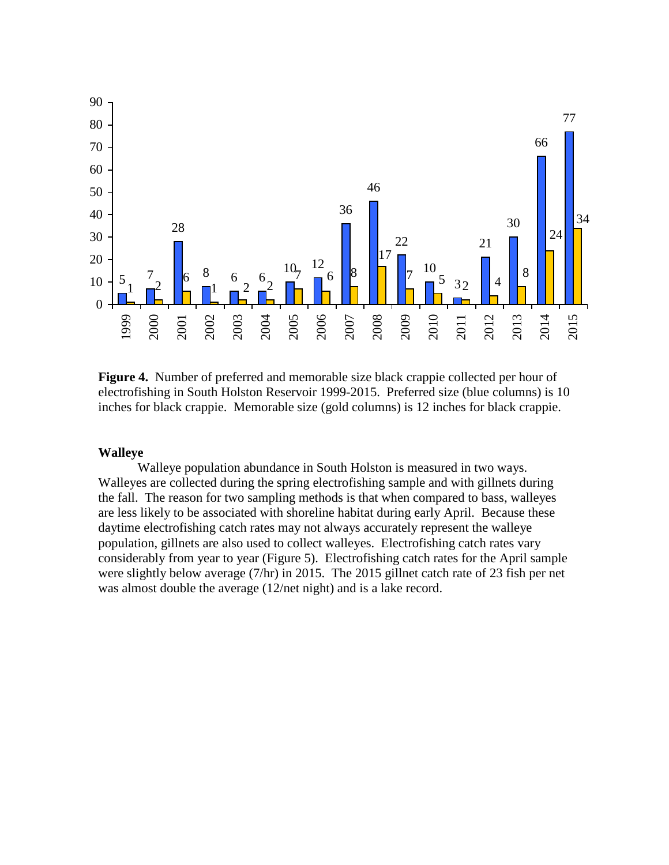

**Figure 4.** Number of preferred and memorable size black crappie collected per hour of electrofishing in South Holston Reservoir 1999-2015. Preferred size (blue columns) is 10 inches for black crappie. Memorable size (gold columns) is 12 inches for black crappie.

## **Walleye**

Walleye population abundance in South Holston is measured in two ways. Walleyes are collected during the spring electrofishing sample and with gillnets during the fall. The reason for two sampling methods is that when compared to bass, walleyes are less likely to be associated with shoreline habitat during early April. Because these daytime electrofishing catch rates may not always accurately represent the walleye population, gillnets are also used to collect walleyes. Electrofishing catch rates vary considerably from year to year (Figure 5). Electrofishing catch rates for the April sample were slightly below average (7/hr) in 2015. The 2015 gillnet catch rate of 23 fish per net was almost double the average (12/net night) and is a lake record.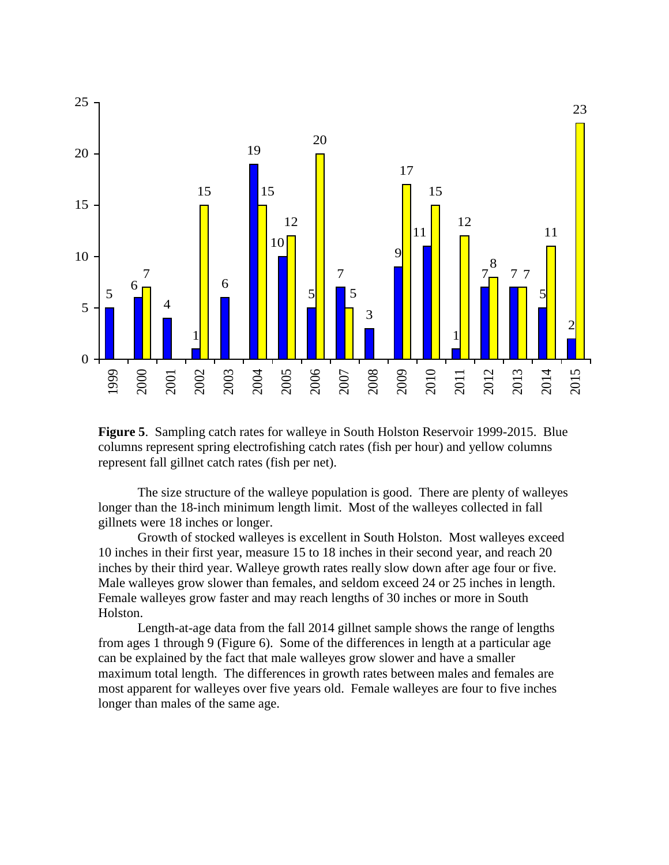

**Figure 5**. Sampling catch rates for walleye in South Holston Reservoir 1999-2015. Blue columns represent spring electrofishing catch rates (fish per hour) and yellow columns represent fall gillnet catch rates (fish per net).

The size structure of the walleye population is good. There are plenty of walleyes longer than the 18-inch minimum length limit. Most of the walleyes collected in fall gillnets were 18 inches or longer.

Growth of stocked walleyes is excellent in South Holston. Most walleyes exceed 10 inches in their first year, measure 15 to 18 inches in their second year, and reach 20 inches by their third year. Walleye growth rates really slow down after age four or five. Male walleyes grow slower than females, and seldom exceed 24 or 25 inches in length. Female walleyes grow faster and may reach lengths of 30 inches or more in South Holston.

Length-at-age data from the fall 2014 gillnet sample shows the range of lengths from ages 1 through 9 (Figure 6). Some of the differences in length at a particular age can be explained by the fact that male walleyes grow slower and have a smaller maximum total length. The differences in growth rates between males and females are most apparent for walleyes over five years old. Female walleyes are four to five inches longer than males of the same age.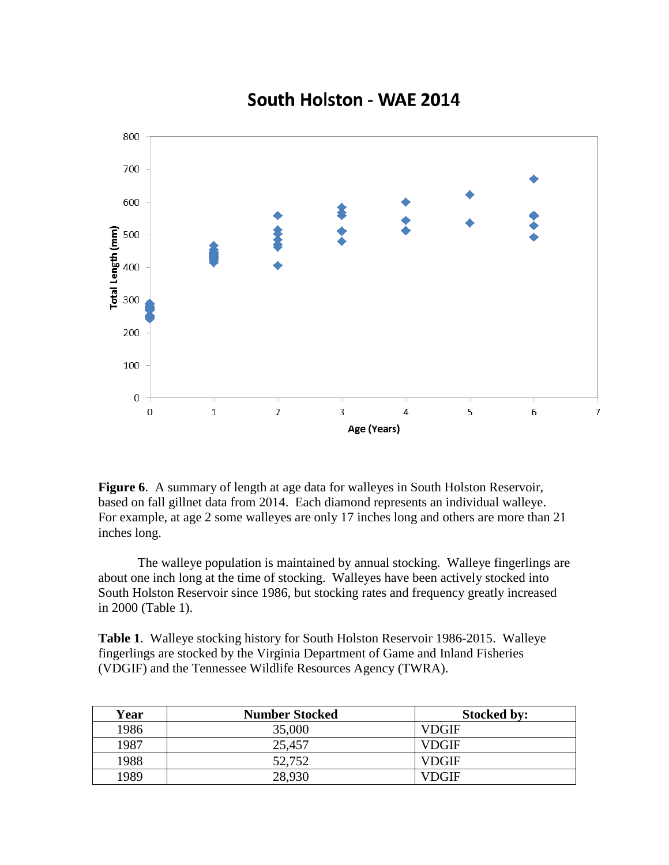

South Holston - WAE 2014

**Figure 6.** A summary of length at age data for walleyes in South Holston Reservoir, based on fall gillnet data from 2014. Each diamond represents an individual walleye. For example, at age 2 some walleyes are only 17 inches long and others are more than 21 inches long.

The walleye population is maintained by annual stocking. Walleye fingerlings are about one inch long at the time of stocking. Walleyes have been actively stocked into South Holston Reservoir since 1986, but stocking rates and frequency greatly increased in 2000 (Table 1).

**Table 1**. Walleye stocking history for South Holston Reservoir 1986-2015. Walleye fingerlings are stocked by the Virginia Department of Game and Inland Fisheries (VDGIF) and the Tennessee Wildlife Resources Agency (TWRA).

| Year | <b>Number Stocked</b> | <b>Stocked by:</b> |
|------|-----------------------|--------------------|
| 1986 | 35,000                | VDGIF              |
| 1987 | 25,457                | <b>VDGIF</b>       |
| 1988 | 52,752                | <b>VDGIF</b>       |
| 1989 | 28,930                | VDGIF              |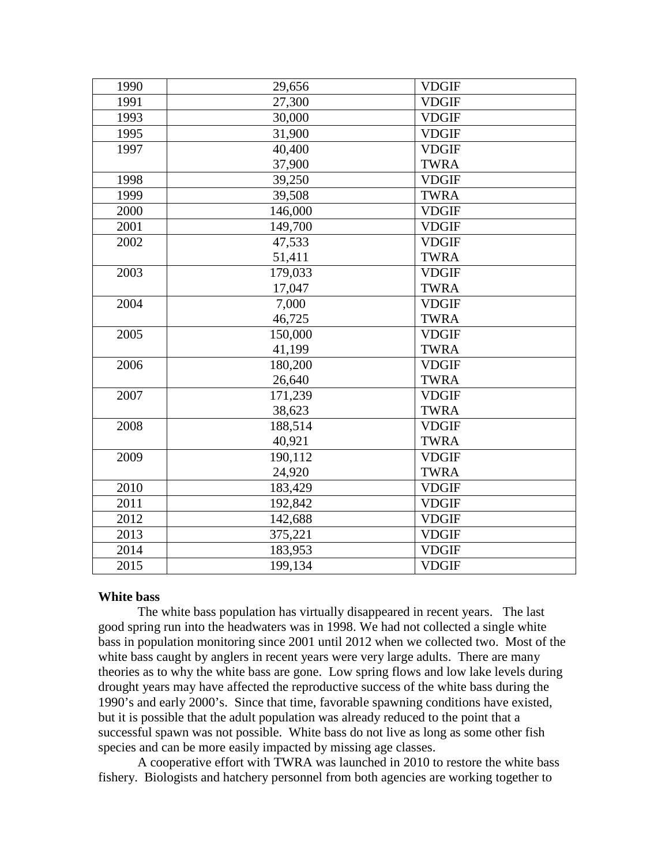| 1990 | 29,656  | <b>VDGIF</b> |
|------|---------|--------------|
| 1991 | 27,300  | <b>VDGIF</b> |
| 1993 | 30,000  | <b>VDGIF</b> |
| 1995 | 31,900  | <b>VDGIF</b> |
| 1997 | 40,400  | <b>VDGIF</b> |
|      | 37,900  | <b>TWRA</b>  |
| 1998 | 39,250  | <b>VDGIF</b> |
| 1999 | 39,508  | <b>TWRA</b>  |
| 2000 | 146,000 | <b>VDGIF</b> |
| 2001 | 149,700 | <b>VDGIF</b> |
| 2002 | 47,533  | <b>VDGIF</b> |
|      | 51,411  | <b>TWRA</b>  |
| 2003 | 179,033 | <b>VDGIF</b> |
|      | 17,047  | <b>TWRA</b>  |
| 2004 | 7,000   | <b>VDGIF</b> |
|      | 46,725  | <b>TWRA</b>  |
| 2005 | 150,000 | <b>VDGIF</b> |
|      | 41,199  | <b>TWRA</b>  |
| 2006 | 180,200 | <b>VDGIF</b> |
|      | 26,640  | <b>TWRA</b>  |
| 2007 | 171,239 | <b>VDGIF</b> |
|      | 38,623  | <b>TWRA</b>  |
| 2008 | 188,514 | <b>VDGIF</b> |
|      | 40,921  | <b>TWRA</b>  |
| 2009 | 190,112 | <b>VDGIF</b> |
|      | 24,920  | <b>TWRA</b>  |
| 2010 | 183,429 | <b>VDGIF</b> |
| 2011 | 192,842 | <b>VDGIF</b> |
| 2012 | 142,688 | <b>VDGIF</b> |
| 2013 | 375,221 | <b>VDGIF</b> |
| 2014 | 183,953 | <b>VDGIF</b> |
| 2015 | 199,134 | <b>VDGIF</b> |

# **White bass**

The white bass population has virtually disappeared in recent years. The last good spring run into the headwaters was in 1998. We had not collected a single white bass in population monitoring since 2001 until 2012 when we collected two. Most of the white bass caught by anglers in recent years were very large adults. There are many theories as to why the white bass are gone. Low spring flows and low lake levels during drought years may have affected the reproductive success of the white bass during the 1990's and early 2000's. Since that time, favorable spawning conditions have existed, but it is possible that the adult population was already reduced to the point that a successful spawn was not possible. White bass do not live as long as some other fish species and can be more easily impacted by missing age classes.

A cooperative effort with TWRA was launched in 2010 to restore the white bass fishery. Biologists and hatchery personnel from both agencies are working together to